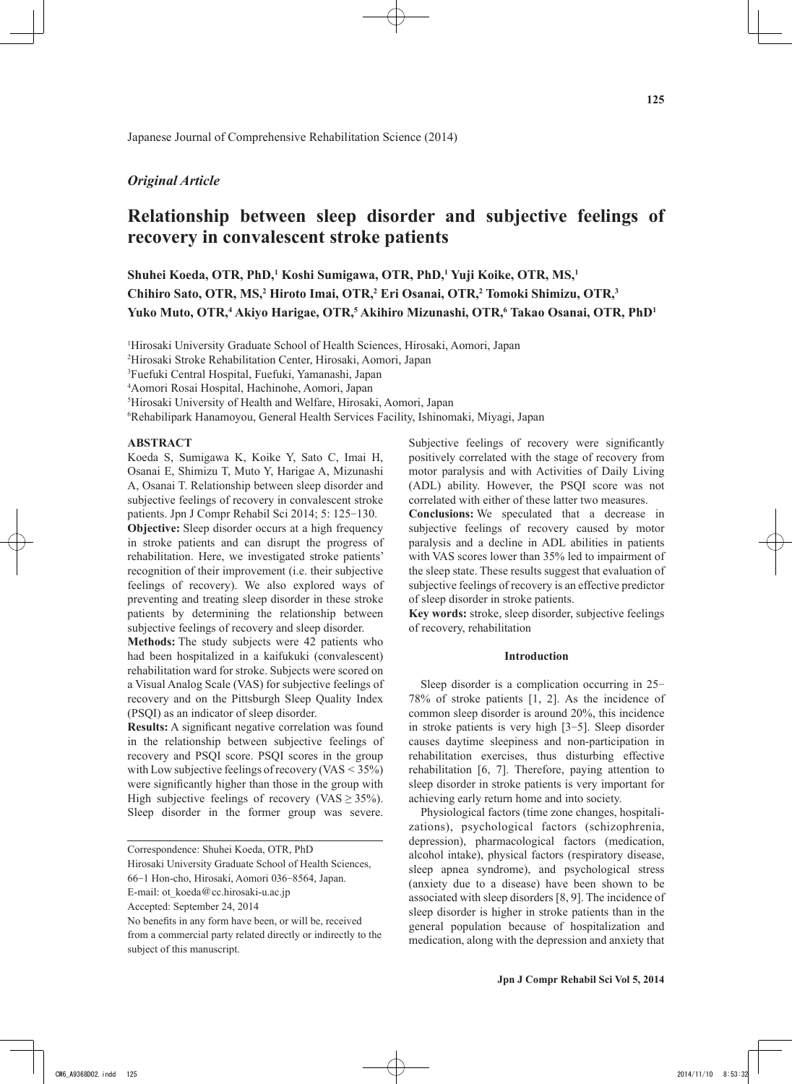## *Original Article*

# **Relationship between sleep disorder and subjective feelings of recovery in convalescent stroke patients**

**Shuhei Koeda, OTR, PhD,1 Koshi Sumigawa, OTR, PhD,1 Yuji Koike, OTR, MS,1** Chihiro Sato, OTR, MS,<sup>2</sup> Hiroto Imai, OTR,<sup>2</sup> Eri Osanai, OTR,<sup>2</sup> Tomoki Shimizu, OTR,<sup>3</sup> Yuko Muto, OTR,<sup>4</sup> Akiyo Harigae, OTR,<sup>5</sup> Akihiro Mizunashi, OTR,<sup>6</sup> Takao Osanai, OTR, PhD<sup>1</sup>

1 Hirosaki University Graduate School of Health Sciences, Hirosaki, Aomori, Japan

2 Hirosaki Stroke Rehabilitation Center, Hirosaki, Aomori, Japan

3 Fuefuki Central Hospital, Fuefuki, Yamanashi, Japan

4 Aomori Rosai Hospital, Hachinohe, Aomori, Japan

5 Hirosaki University of Health and Welfare, Hirosaki, Aomori, Japan

6 Rehabilipark Hanamoyou, General Health Services Facility, Ishinomaki, Miyagi, Japan

### **ABSTRACT**

Koeda S, Sumigawa K, Koike Y, Sato C, Imai H, Osanai E, Shimizu T, Muto Y, Harigae A, Mizunashi A, Osanai T. Relationship between sleep disorder and subjective feelings of recovery in convalescent stroke patients. Jpn J Compr Rehabil Sci 2014; 5: 125-130.

**Objective:** Sleep disorder occurs at a high frequency in stroke patients and can disrupt the progress of rehabilitation. Here, we investigated stroke patients' recognition of their improvement (i.e. their subjective feelings of recovery). We also explored ways of preventing and treating sleep disorder in these stroke patients by determining the relationship between subjective feelings of recovery and sleep disorder.

**Methods:** The study subjects were 42 patients who had been hospitalized in a kaifukuki (convalescent) rehabilitation ward for stroke. Subjects were scored on a Visual Analog Scale (VAS) for subjective feelings of recovery and on the Pittsburgh Sleep Quality Index (PSQI) as an indicator of sleep disorder.

**Results:** A significant negative correlation was found in the relationship between subjective feelings of recovery and PSQI score. PSQI scores in the group with Low subjective feelings of recovery  $(VAS < 35%)$ were significantly higher than those in the group with High subjective feelings of recovery (VAS  $\geq$  35%). Sleep disorder in the former group was severe.

Hirosaki University Graduate School of Health Sciences,

Subjective feelings of recovery were significantly positively correlated with the stage of recovery from motor paralysis and with Activities of Daily Living (ADL) ability. However, the PSQI score was not correlated with either of these latter two measures.

**Conclusions:** We speculated that a decrease in subjective feelings of recovery caused by motor paralysis and a decline in ADL abilities in patients with VAS scores lower than 35% led to impairment of the sleep state. These results suggest that evaluation of subjective feelings of recovery is an effective predictor of sleep disorder in stroke patients.

**Key words:** stroke, sleep disorder, subjective feelings of recovery, rehabilitation

#### **Introduction**

Sleep disorder is a complication occurring in 25- 78% of stroke patients [1, 2]. As the incidence of common sleep disorder is around 20%, this incidence in stroke patients is very high [3-5]. Sleep disorder causes daytime sleepiness and non-participation in rehabilitation exercises, thus disturbing effective rehabilitation [6, 7]. Therefore, paying attention to sleep disorder in stroke patients is very important for achieving early return home and into society.

Physiological factors (time zone changes, hospitalizations), psychological factors (schizophrenia, depression), pharmacological factors (medication, alcohol intake), physical factors (respiratory disease, sleep apnea syndrome), and psychological stress (anxiety due to a disease) have been shown to be associated with sleep disorders [8, 9]. The incidence of sleep disorder is higher in stroke patients than in the general population because of hospitalization and medication, along with the depression and anxiety that

Correspondence: Shuhei Koeda, OTR, PhD

<sup>66</sup>-1 Hon-cho, Hirosaki, Aomori 036-8564, Japan.

E-mail: ot\_koeda@cc.hirosaki-u.ac.jp

Accepted: September 24, 2014

No benefits in any form have been, or will be, received from a commercial party related directly or indirectly to the subject of this manuscript.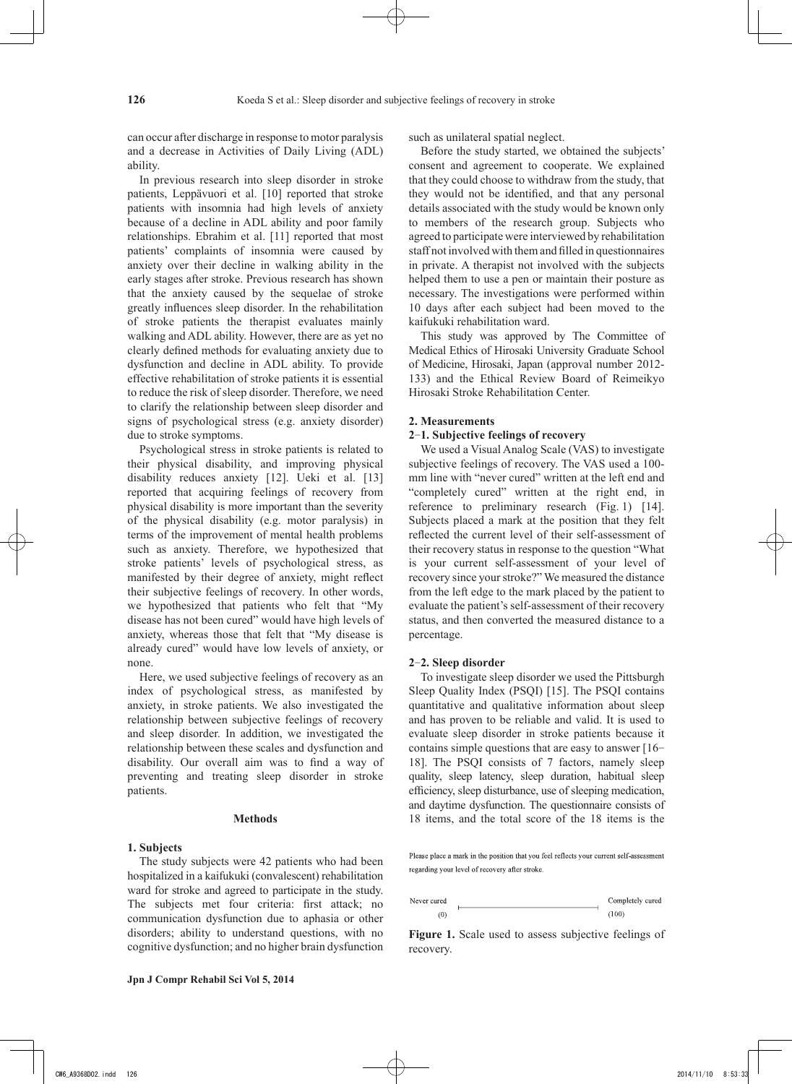can occur after discharge in response to motor paralysis and a decrease in Activities of Daily Living (ADL) ability.

In previous research into sleep disorder in stroke patients, Leppävuori et al. [10] reported that stroke patients with insomnia had high levels of anxiety because of a decline in ADL ability and poor family relationships. Ebrahim et al. [11] reported that most patients' complaints of insomnia were caused by anxiety over their decline in walking ability in the early stages after stroke. Previous research has shown that the anxiety caused by the sequelae of stroke greatly influences sleep disorder. In the rehabilitation of stroke patients the therapist evaluates mainly walking and ADL ability. However, there are as yet no clearly defined methods for evaluating anxiety due to dysfunction and decline in ADL ability. To provide effective rehabilitation of stroke patients it is essential to reduce the risk of sleep disorder. Therefore, we need to clarify the relationship between sleep disorder and signs of psychological stress (e.g. anxiety disorder) due to stroke symptoms.

Psychological stress in stroke patients is related to their physical disability, and improving physical disability reduces anxiety [12]. Ueki et al. [13] reported that acquiring feelings of recovery from physical disability is more important than the severity of the physical disability (e.g. motor paralysis) in terms of the improvement of mental health problems such as anxiety. Therefore, we hypothesized that stroke patients' levels of psychological stress, as manifested by their degree of anxiety, might reflect their subjective feelings of recovery. In other words, we hypothesized that patients who felt that "My disease has not been cured" would have high levels of anxiety, whereas those that felt that "My disease is already cured" would have low levels of anxiety, or none.

Here, we used subjective feelings of recovery as an index of psychological stress, as manifested by anxiety, in stroke patients. We also investigated the relationship between subjective feelings of recovery and sleep disorder. In addition, we investigated the relationship between these scales and dysfunction and disability. Our overall aim was to find a way of preventing and treating sleep disorder in stroke patients.

## **Methods**

## **1. Subjects**

The study subjects were 42 patients who had been hospitalized in a kaifukuki (convalescent) rehabilitation ward for stroke and agreed to participate in the study. The subjects met four criteria: first attack; no communication dysfunction due to aphasia or other disorders; ability to understand questions, with no cognitive dysfunction; and no higher brain dysfunction such as unilateral spatial neglect.

Before the study started, we obtained the subjects' consent and agreement to cooperate. We explained that they could choose to withdraw from the study, that they would not be identified, and that any personal details associated with the study would be known only to members of the research group. Subjects who agreed to participate were interviewed by rehabilitation staff not involved with themand filled in questionnaires in private. A therapist not involved with the subjects helped them to use a pen or maintain their posture as necessary. The investigations were performed within 10 days after each subject had been moved to the kaifukuki rehabilitation ward.

This study was approved by The Committee of Medical Ethics of Hirosaki University Graduate School of Medicine, Hirosaki, Japan (approval number 2012- 133) and the Ethical Review Board of Reimeikyo Hirosaki Stroke Rehabilitation Center.

#### **2. Measurements**

### **2**-**1. Subjective feelings of recovery**

We used a Visual Analog Scale (VAS) to investigate subjective feelings of recovery. The VAS used a 100 mm line with "never cured" written at the left end and "completely cured" written at the right end, in reference to preliminary research (Fig. 1) [14]. Subjects placed a mark at the position that they felt reflected the current level of their self-assessment of their recovery status in response to the question "What is your current self-assessment of your level of recovery since your stroke?" We measured the distance from the left edge to the mark placed by the patient to evaluate the patient's self-assessment of their recovery status, and then converted the measured distance to a percentage.

#### **2**-**2. Sleep disorder**

To investigate sleep disorder we used the Pittsburgh Sleep Quality Index (PSQI) [15]. The PSQI contains quantitative and qualitative information about sleep and has proven to be reliable and valid. It is used to evaluate sleep disorder in stroke patients because it contains simple questions that are easy to answer [16- 18]. The PSQI consists of 7 factors, namely sleep quality, sleep latency, sleep duration, habitual sleep efficiency, sleep disturbance, use of sleeping medication, and daytime dysfunction. The questionnaire consists of 18 items, and the total score of the 18 items is the

Please place a mark in the position that you feel reflects your current self-assessment regarding your level of recovery after stroke.

Never cured Completely cured  $\frac{1}{2} \left( \frac{1}{2} \right)^{2} \left( \frac{1}{2} \right)^{2} \left( \frac{1}{2} \right)^{2} \left( \frac{1}{2} \right)^{2} \left( \frac{1}{2} \right)^{2} \left( \frac{1}{2} \right)^{2} \left( \frac{1}{2} \right)^{2} \left( \frac{1}{2} \right)^{2} \left( \frac{1}{2} \right)^{2} \left( \frac{1}{2} \right)^{2} \left( \frac{1}{2} \right)^{2} \left( \frac{1}{2} \right)^{2} \left( \frac{1}{2} \right)^{2} \left( \frac$  $\overline{\phantom{0}}$  $(0)$  $(100)$ 

Figure 1. Scale used to assess subjective feelings of recovery.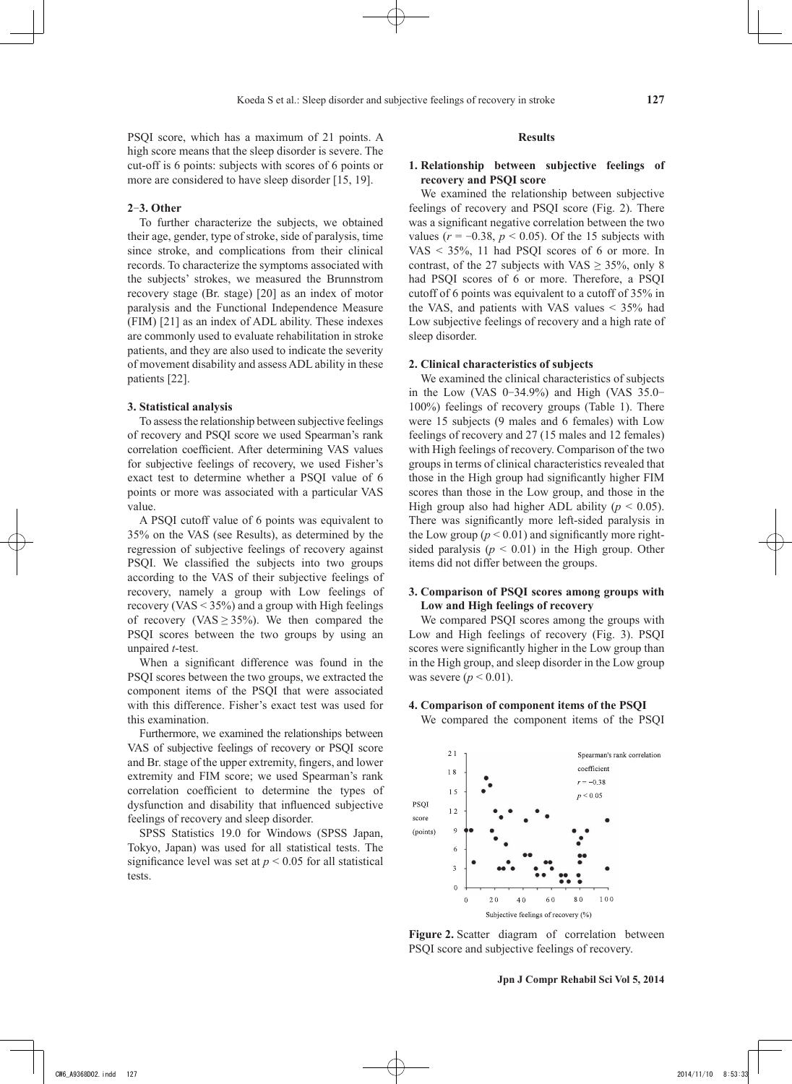PSQI score, which has a maximum of 21 points. A high score means that the sleep disorder is severe. The cut-off is 6 points: subjects with scores of 6 points or more are considered to have sleep disorder [15, 19].

## **2**-**3. Other**

To further characterize the subjects, we obtained their age, gender, type of stroke, side of paralysis, time since stroke, and complications from their clinical records. To characterize the symptoms associated with the subjects' strokes, we measured the Brunnstrom recovery stage (Br. stage) [20] as an index of motor paralysis and the Functional Independence Measure (FIM) [21] as an index of ADL ability. These indexes are commonly used to evaluate rehabilitation in stroke patients, and they are also used to indicate the severity of movement disability and assess ADL ability in these patients [22].

## **3. Statistical analysis**

To assess the relationship between subjective feelings of recovery and PSQI score we used Spearman's rank correlation coefficient. After determining VAS values for subjective feelings of recovery, we used Fisher's exact test to determine whether a PSQI value of 6 points or more was associated with a particular VAS value.

A PSQI cutoff value of 6 points was equivalent to 35% on the VAS (see Results), as determined by the regression of subjective feelings of recovery against PSQI. We classified the subjects into two groups according to the VAS of their subjective feelings of recovery, namely a group with Low feelings of recovery (VAS < 35%) and a group with High feelings of recovery (VAS  $\geq$  35%). We then compared the PSQI scores between the two groups by using an unpaired *t*-test.

When a significant difference was found in the PSQI scores between the two groups, we extracted the component items of the PSQI that were associated with this difference. Fisher's exact test was used for this examination.

Furthermore, we examined the relationships between VAS of subjective feelings of recovery or PSQI score and Br. stage of the upper extremity, fingers, and lower extremity and FIM score; we used Spearman's rank correlation coefficient to determine the types of dysfunction and disability that influenced subjective feelings of recovery and sleep disorder.

SPSS Statistics 19.0 for Windows (SPSS Japan, Tokyo, Japan) was used for all statistical tests. The significance level was set at  $p < 0.05$  for all statistical tests.

#### **Results**

## **1. Relationship between subjective feelings of recovery and PSQI score**

We examined the relationship between subjective feelings of recovery and PSQI score (Fig. 2). There was a significant negative correlation between the two values ( $r = -0.38$ ,  $p < 0.05$ ). Of the 15 subjects with VAS < 35%, 11 had PSQI scores of 6 or more. In contrast, of the 27 subjects with VAS  $\geq$  35%, only 8 had PSQI scores of 6 or more. Therefore, a PSQI cutoff of 6 points was equivalent to a cutoff of 35% in the VAS, and patients with VAS values < 35% had Low subjective feelings of recovery and a high rate of sleep disorder.

## **2. Clinical characteristics of subjects**

We examined the clinical characteristics of subjects in the Low (VAS 0-34.9%) and High (VAS 35.0- 100%) feelings of recovery groups (Table 1). There were 15 subjects (9 males and 6 females) with Low feelings of recovery and 27 (15 males and 12 females) with High feelings of recovery. Comparison of the two groups in terms of clinical characteristics revealed that those in the High group had significantly higher FIM scores than those in the Low group, and those in the High group also had higher ADL ability ( $p < 0.05$ ). There was significantly more left-sided paralysis in the Low group ( $p < 0.01$ ) and significantly more rightsided paralysis  $(p < 0.01)$  in the High group. Other items did not differ between the groups.

## **3. Comparison of PSQI scores among groups with Low and High feelings of recovery**

We compared PSQI scores among the groups with Low and High feelings of recovery (Fig. 3). PSQI scores were significantly higher in the Low group than in the High group, and sleep disorder in the Low group was severe  $(p < 0.01)$ .

## **4. Comparison of component items of the PSQI**

We compared the component items of the PSQI



**Figure 2.** Scatter diagram of correlation between PSQI score and subjective feelings of recovery.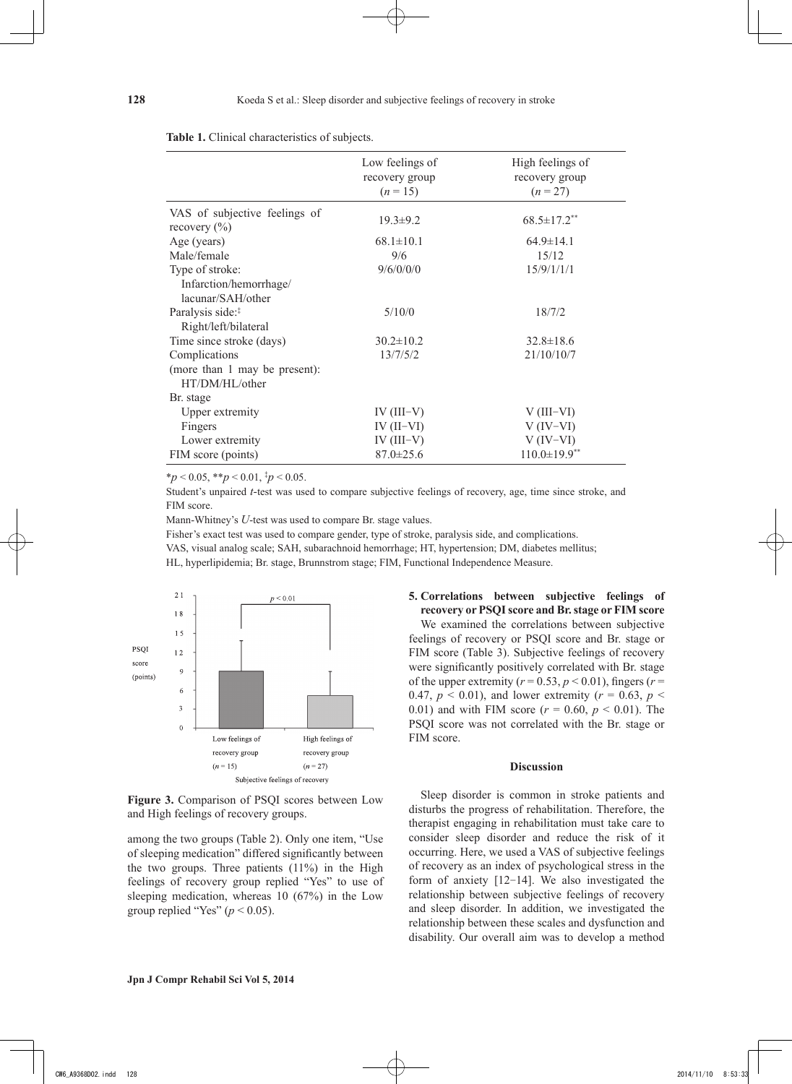|                                                   | Low feelings of<br>recovery group<br>$(n=15)$ | High feelings of<br>recovery group<br>$(n = 27)$ |
|---------------------------------------------------|-----------------------------------------------|--------------------------------------------------|
| VAS of subjective feelings of<br>recovery $(\% )$ | $19.3 \pm 9.2$                                | $68.5 \pm 17.2$ <sup>**</sup>                    |
| Age (years)                                       | $68.1 \pm 10.1$                               | $64.9 \pm 14.1$                                  |
| Male/female                                       | 9/6                                           | 15/12                                            |
| Type of stroke:                                   | 9/6/0/0/0                                     | 15/9/1/1/1                                       |
| Infarction/hemorrhage/<br>lacunar/SAH/other       |                                               |                                                  |
| Paralysis side: <sup>#</sup>                      | 5/10/0                                        | 18/7/2                                           |
| Right/left/bilateral                              |                                               |                                                  |
| Time since stroke (days)                          | $30.2 \pm 10.2$                               | $32.8 \pm 18.6$                                  |
| Complications                                     | 13/7/5/2                                      | 21/10/10/7                                       |
| (more than 1 may be present):<br>HT/DM/HL/other   |                                               |                                                  |
| Br. stage                                         |                                               |                                                  |
| Upper extremity                                   | $IV (III-V)$                                  | $V$ (III–VI)                                     |
| Fingers                                           | $IV (II-VI)$                                  | $V (IV-VI)$                                      |
| Lower extremity                                   | IV $(III-V)$                                  | $V (IV-VI)$                                      |
| FIM score (points)                                | $87.0 \pm 25.6$                               | $110.0 \pm 19.9$ **                              |

#### **Table 1.** Clinical characteristics of subjects.

\**p* < 0.05, \*\**p* < 0.01, ‡ *p* < 0.05.

Student's unpaired *t-*test was used to compare subjective feelings of recovery, age, time since stroke, and FIM score.

Mann-Whitney's *U*-test was used to compare Br. stage values.

Fisher's exact test was used to compare gender, type of stroke, paralysis side, and complications.

VAS, visual analog scale; SAH, subarachnoid hemorrhage; HT, hypertension; DM, diabetes mellitus;

HL, hyperlipidemia; Br. stage, Brunnstrom stage; FIM, Functional Independence Measure.



**Figure 3.** Comparison of PSQI scores between Low and High feelings of recovery groups.

among the two groups (Table 2). Only one item, "Use of sleeping medication" differed significantly between the two groups. Three patients (11%) in the High feelings of recovery group replied "Yes" to use of sleeping medication, whereas 10 (67%) in the Low group replied "Yes" ( $p < 0.05$ ).

## **5. Correlations between subjective feelings of recovery or PSQI score and Br. stage or FIM score**

We examined the correlations between subjective feelings of recovery or PSQI score and Br. stage or FIM score (Table 3). Subjective feelings of recovery were significantly positively correlated with Br. stage of the upper extremity ( $r = 0.53$ ,  $p < 0.01$ ), fingers ( $r =$ 0.47,  $p < 0.01$ ), and lower extremity ( $r = 0.63$ ,  $p <$ 0.01) and with FIM score ( $r = 0.60$ ,  $p < 0.01$ ). The PSQI score was not correlated with the Br. stage or FIM score.

## **Discussion**

Sleep disorder is common in stroke patients and disturbs the progress of rehabilitation. Therefore, the therapist engaging in rehabilitation must take care to consider sleep disorder and reduce the risk of it occurring. Here, we used a VAS of subjective feelings of recovery as an index of psychological stress in the form of anxiety [12-14]. We also investigated the relationship between subjective feelings of recovery and sleep disorder. In addition, we investigated the relationship between these scales and dysfunction and disability. Our overall aim was to develop a method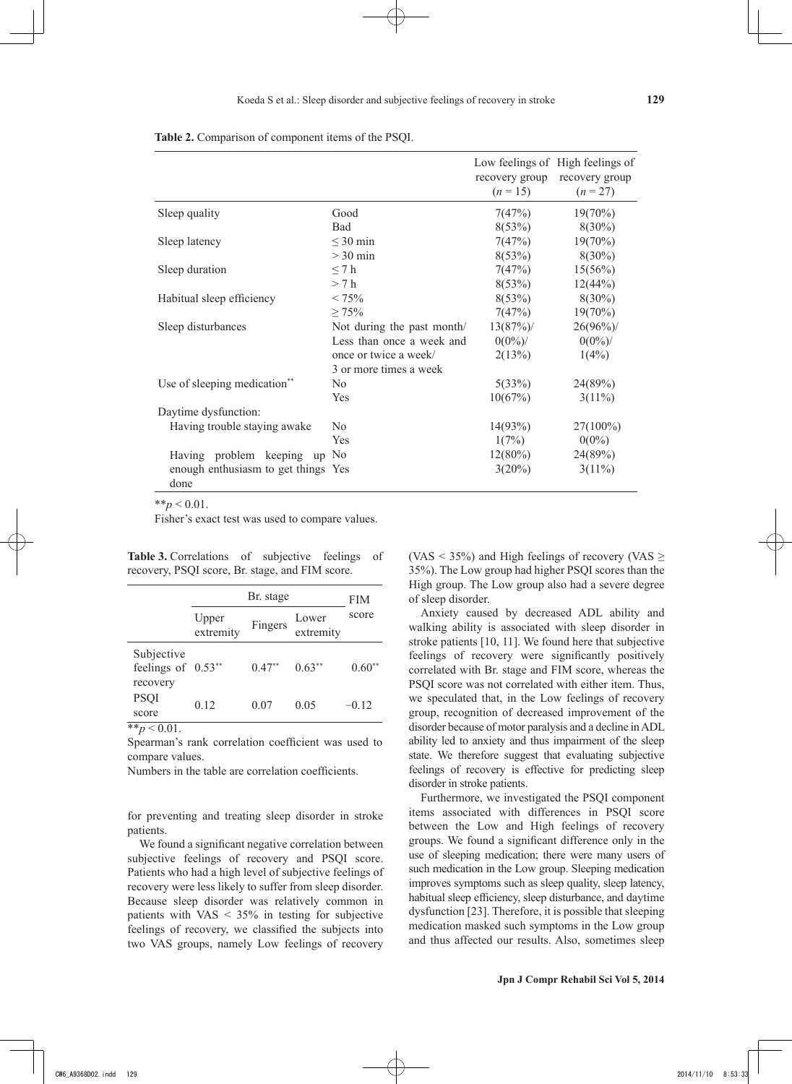|  |  | Table 2. Comparison of component items of the PSQI. |  |  |  |
|--|--|-----------------------------------------------------|--|--|--|
|--|--|-----------------------------------------------------|--|--|--|

|                                             |                            | $(n=15)$   | Low feelings of High feelings of<br>recovery group recovery group<br>$(n = 27)$ |
|---------------------------------------------|----------------------------|------------|---------------------------------------------------------------------------------|
| Sleep quality                               | Good                       | 7(47%)     | $19(70\%)$                                                                      |
|                                             | <b>Bad</b>                 | 8(53%)     | $8(30\%)$                                                                       |
| Sleep latency                               | $\leq$ 30 min              | 7(47%)     | $19(70\%)$                                                                      |
|                                             | $>$ 30 min                 | 8(53%)     | $8(30\%)$                                                                       |
| Sleep duration                              | $\leq 7h$                  | 7(47%)     | 15(56%)                                                                         |
|                                             | > 7 h                      | 8(53%)     | 12(44%)                                                                         |
| Habitual sleep efficiency                   | $< 75\%$                   | 8(53%)     | $8(30\%)$                                                                       |
|                                             | $\geq 75\%$                | 7(47%)     | $19(70\%)$                                                                      |
| Sleep disturbances                          | Not during the past month/ | 13(87%)    | $26(96\%)$                                                                      |
|                                             | Less than once a week and  | $0(0\%)$   | $0(0\%)$                                                                        |
|                                             | once or twice a week/      | 2(13%)     | $1(4\%)$                                                                        |
|                                             | 3 or more times a week     |            |                                                                                 |
| Use of sleeping medication**                | N <sub>0</sub>             | 5(33%)     | 24(89%)                                                                         |
|                                             | Yes                        | 10(67%)    | $3(11\%)$                                                                       |
| Daytime dysfunction:                        |                            |            |                                                                                 |
| Having trouble staying awake                | N <sub>0</sub>             | 14(93%)    | $27(100\%)$                                                                     |
|                                             | Yes                        | 1(7%)      | $0(0\%)$                                                                        |
| Having problem keeping<br>up                | N <sub>0</sub>             | $12(80\%)$ | 24(89%)                                                                         |
| enough enthusiasm to get things Yes<br>done |                            | 3(20%)     | $3(11\%)$                                                                       |

 $*$ *\*p* < 0.01.

Fisher's exact test was used to compare values.

**Table 3.** Correlations of subjective feelings of recovery, PSQI score, Br. stage, and FIM score.

|                                                | Br. stage          |          |                    | FIM            |
|------------------------------------------------|--------------------|----------|--------------------|----------------|
|                                                | Upper<br>extremity | Fingers  | Lower<br>extremity | score          |
| Subjective<br>feelings of $0.53**$<br>recovery |                    | $0.47**$ | $0.63**$           | $0.60^{\circ}$ |
| <b>PSQI</b><br>score                           | 0.12               | 0.07     | 0.05               | $-0.12$        |

 $**_p < 0.01$ .

Spearman's rank correlation coefficient was used to compare values.

Numbers in the table are correlation coefficients.

for preventing and treating sleep disorder in stroke patients.

We found a significant negative correlation between subjective feelings of recovery and PSQI score. Patients who had a high level of subjective feelings of recovery were less likely to suffer from sleep disorder. Because sleep disorder was relatively common in patients with  $VAS < 35\%$  in testing for subjective feelings of recovery, we classified the subjects into two VAS groups, namely Low feelings of recovery (VAS  $\le$  35%) and High feelings of recovery (VAS  $\ge$ 35%). The Low group had higher PSQI scores than the High group. The Low group also had a severe degree of sleep disorder.

Anxiety caused by decreased ADL ability and walking ability is associated with sleep disorder in stroke patients [10, 11]. We found here that subjective feelings of recovery were significantly positively correlated with Br. stage and FIM score, whereas the PSQI score was not correlated with either item. Thus, we speculated that, in the Low feelings of recovery group, recognition of decreased improvement of the disorder because of motor paralysis and a decline in ADL ability led to anxiety and thus impairment of the sleep state. We therefore suggest that evaluating subjective feelings of recovery is effective for predicting sleep disorder in stroke patients.

Furthermore, we investigated the PSQI component items associated with differences in PSQI score between the Low and High feelings of recovery groups. We found a significant difference only in the use of sleeping medication; there were many users of such medication in the Low group. Sleeping medication improves symptoms such as sleep quality, sleep latency, habitual sleep efficiency, sleep disturbance, and daytime dysfunction [23]. Therefore, it is possible that sleeping medication masked such symptoms in the Low group and thus affected our results. Also, sometimes sleep